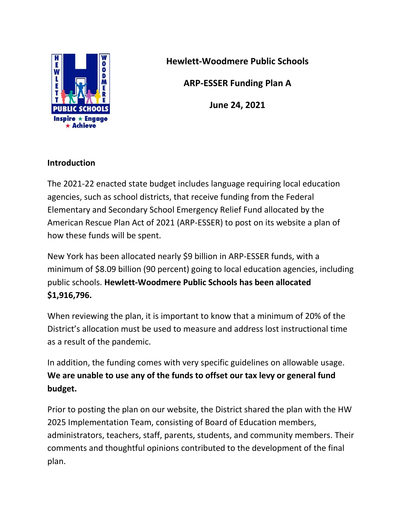

**Hewlett-Woodmere Public Schools**

**ARP-ESSER Funding Plan A**

**June 24, 2021**

## **Introduction**

The 2021-22 enacted state budget includes language requiring local education agencies, such as school districts, that receive funding from the Federal Elementary and Secondary School Emergency Relief Fund allocated by the American Rescue Plan Act of 2021 (ARP-ESSER) to post on its website a plan of how these funds will be spent.

New York has been allocated nearly \$9 billion in ARP-ESSER funds, with a minimum of \$8.09 billion (90 percent) going to local education agencies, including public schools. **Hewlett-Woodmere Public Schools has been allocated \$1,916,796.**

When reviewing the plan, it is important to know that a minimum of 20% of the District's allocation must be used to measure and address lost instructional time as a result of the pandemic.

In addition, the funding comes with very specific guidelines on allowable usage. **We are unable to use any of the funds to offset our tax levy or general fund budget.**

Prior to posting the plan on our website, the District shared the plan with the HW 2025 Implementation Team, consisting of Board of Education members, administrators, teachers, staff, parents, students, and community members. Their comments and thoughtful opinions contributed to the development of the final plan.